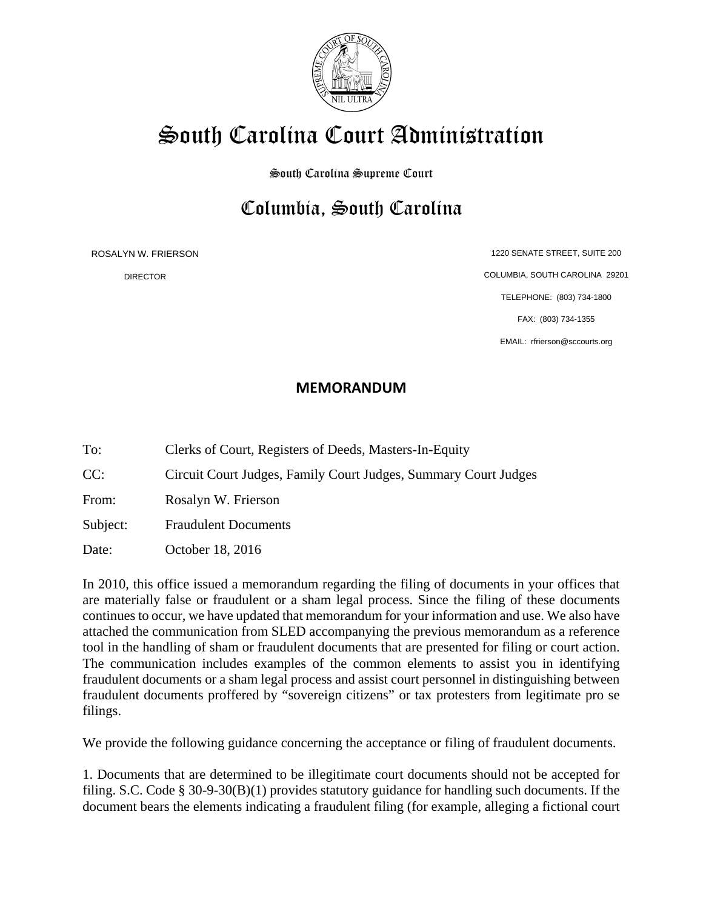

## South Carolina Court Administration

South Carolina Supreme Court

## Columbia, South Carolina

ROSALYN W. FRIERSON

DIRECTOR

1220 SENATE STREET, SUITE 200 COLUMBIA, SOUTH CAROLINA 29201 TELEPHONE: (803) 734-1800 FAX: (803) 734-1355 EMAIL: rfrierson@sccourts.org

## **MEMORANDUM**

To: Clerks of Court, Registers of Deeds, Masters-In-Equity

CC: Circuit Court Judges, Family Court Judges, Summary Court Judges

From: Rosalyn W. Frierson

Subject: Fraudulent Documents

Date: October 18, 2016

In 2010, this office issued a memorandum regarding the filing of documents in your offices that are materially false or fraudulent or a sham legal process. Since the filing of these documents continues to occur, we have updated that memorandum for your information and use. We also have attached the communication from SLED accompanying the previous memorandum as a reference tool in the handling of sham or fraudulent documents that are presented for filing or court action. The communication includes examples of the common elements to assist you in identifying fraudulent documents or a sham legal process and assist court personnel in distinguishing between fraudulent documents proffered by "sovereign citizens" or tax protesters from legitimate pro se filings.

We provide the following guidance concerning the acceptance or filing of fraudulent documents.

1. Documents that are determined to be illegitimate court documents should not be accepted for filing. S.C. Code § 30-9-30(B)(1) provides statutory guidance for handling such documents. If the document bears the elements indicating a fraudulent filing (for example, alleging a fictional court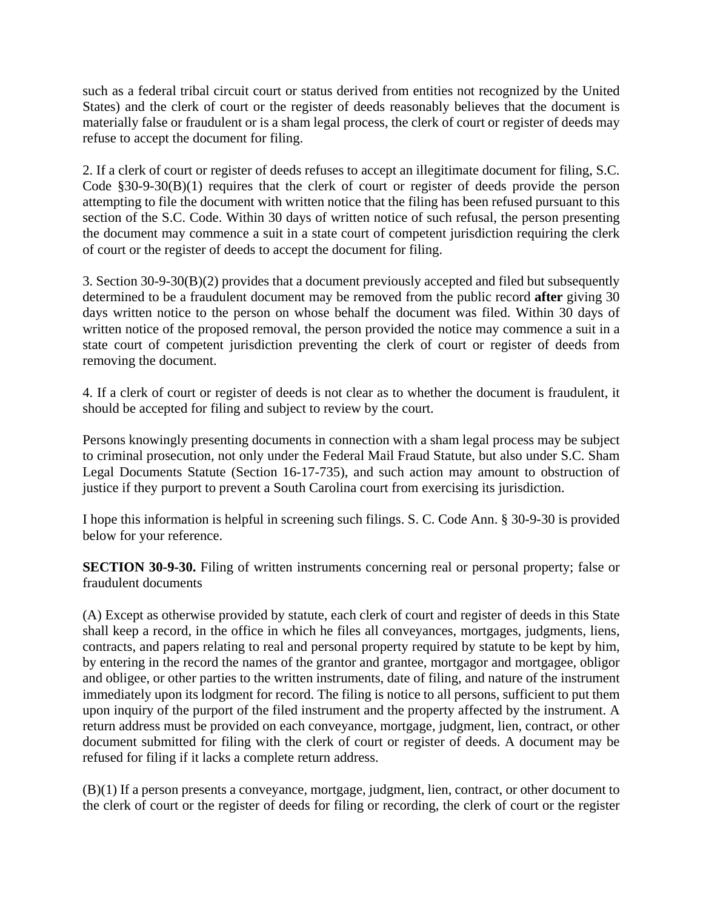such as a federal tribal circuit court or status derived from entities not recognized by the United States) and the clerk of court or the register of deeds reasonably believes that the document is materially false or fraudulent or is a sham legal process, the clerk of court or register of deeds may refuse to accept the document for filing.

2. If a clerk of court or register of deeds refuses to accept an illegitimate document for filing, S.C. Code §30-9-30(B)(1) requires that the clerk of court or register of deeds provide the person attempting to file the document with written notice that the filing has been refused pursuant to this section of the S.C. Code. Within 30 days of written notice of such refusal, the person presenting the document may commence a suit in a state court of competent jurisdiction requiring the clerk of court or the register of deeds to accept the document for filing.

3. Section 30-9-30(B)(2) provides that a document previously accepted and filed but subsequently determined to be a fraudulent document may be removed from the public record **after** giving 30 days written notice to the person on whose behalf the document was filed. Within 30 days of written notice of the proposed removal, the person provided the notice may commence a suit in a state court of competent jurisdiction preventing the clerk of court or register of deeds from removing the document.

4. If a clerk of court or register of deeds is not clear as to whether the document is fraudulent, it should be accepted for filing and subject to review by the court.

Persons knowingly presenting documents in connection with a sham legal process may be subject to criminal prosecution, not only under the Federal Mail Fraud Statute, but also under S.C. Sham Legal Documents Statute (Section 16-17-735), and such action may amount to obstruction of justice if they purport to prevent a South Carolina court from exercising its jurisdiction.

I hope this information is helpful in screening such filings. S. C. Code Ann. § 30-9-30 is provided below for your reference.

**SECTION 30-9-30.** Filing of written instruments concerning real or personal property; false or fraudulent documents

(A) Except as otherwise provided by statute, each clerk of court and register of deeds in this State shall keep a record, in the office in which he files all conveyances, mortgages, judgments, liens, contracts, and papers relating to real and personal property required by statute to be kept by him, by entering in the record the names of the grantor and grantee, mortgagor and mortgagee, obligor and obligee, or other parties to the written instruments, date of filing, and nature of the instrument immediately upon its lodgment for record. The filing is notice to all persons, sufficient to put them upon inquiry of the purport of the filed instrument and the property affected by the instrument. A return address must be provided on each conveyance, mortgage, judgment, lien, contract, or other document submitted for filing with the clerk of court or register of deeds. A document may be refused for filing if it lacks a complete return address.

(B)(1) If a person presents a conveyance, mortgage, judgment, lien, contract, or other document to the clerk of court or the register of deeds for filing or recording, the clerk of court or the register